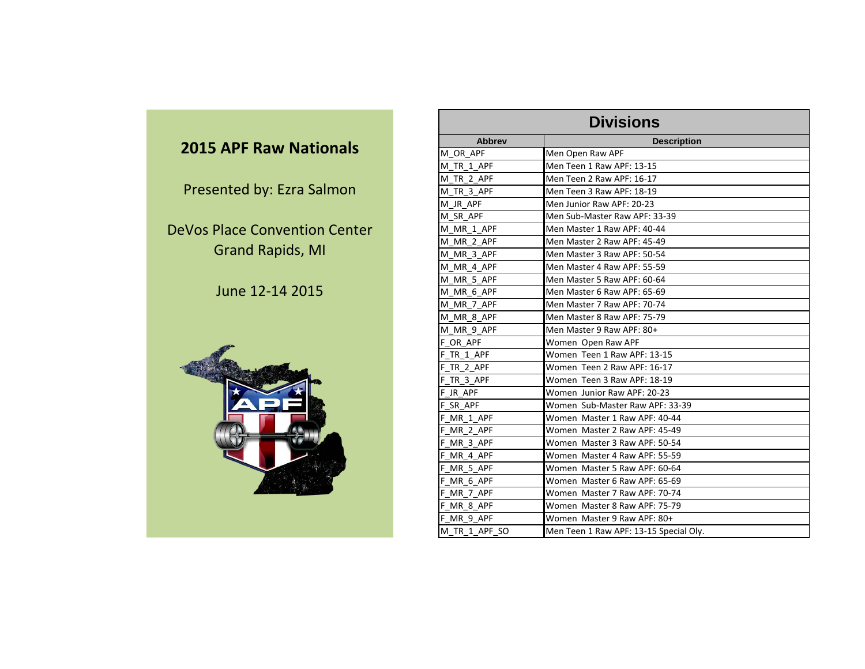#### **2015 APF Raw Nationals**

Presented by: Ezra Salmon

DeVos Place Convention Center Grand Rapids, MI

June 12-14 2015



|               | <b>Divisions</b>                       |
|---------------|----------------------------------------|
| <b>Abbrev</b> | <b>Description</b>                     |
| M OR APF      | Men Open Raw APF                       |
| M TR 1 APF    | Men Teen 1 Raw APF: 13-15              |
| M_TR_2_APF    | Men Teen 2 Raw APF: 16-17              |
| M_TR_3_APF    | Men Teen 3 Raw APF: 18-19              |
| M_JR_APF      | Men Junior Raw APF: 20-23              |
| M SR APF      | Men Sub-Master Raw APF: 33-39          |
| M MR 1 APF    | Men Master 1 Raw APF: 40-44            |
| M_MR_2_APF    | Men Master 2 Raw APF: 45-49            |
| M MR 3 APF    | Men Master 3 Raw APF: 50-54            |
| M MR_4_APF    | Men Master 4 Raw APF: 55-59            |
| M MR 5 APF    | Men Master 5 Raw APF: 60-64            |
| M MR 6 APF    | Men Master 6 Raw APF: 65-69            |
| M_MR_7_APF    | Men Master 7 Raw APF: 70-74            |
| M MR 8 APF    | Men Master 8 Raw APF: 75-79            |
| M MR 9 APF    | Men Master 9 Raw APF: 80+              |
| F OR APF      | Women Open Raw APF                     |
| F TR 1 APF    | Women Teen 1 Raw APF: 13-15            |
| F_TR_2_APF    | Women Teen 2 Raw APF: 16-17            |
| F TR 3 APF    | Women Teen 3 Raw APF: 18-19            |
| F JR APF      | Women Junior Raw APF: 20-23            |
| F SR APF      | Women Sub-Master Raw APF: 33-39        |
| F MR 1 APF    | Women Master 1 Raw APF: 40-44          |
| F_MR_2_APF    | Women Master 2 Raw APF: 45-49          |
| F MR 3 APF    | Women Master 3 Raw APF: 50-54          |
| F MR_4_APF    | Women Master 4 Raw APF: 55-59          |
| F MR 5_APF    | Women Master 5 Raw APF: 60-64          |
| F MR 6 APF    | Women Master 6 Raw APF: 65-69          |
| F_MR_7_APF    | Women Master 7 Raw APF: 70-74          |
| F MR 8 APF    | Women Master 8 Raw APF: 75-79          |
| F MR 9 APF    | Women Master 9 Raw APF: 80+            |
| M_TR_1_APF_SO | Men Teen 1 Raw APF: 13-15 Special Oly. |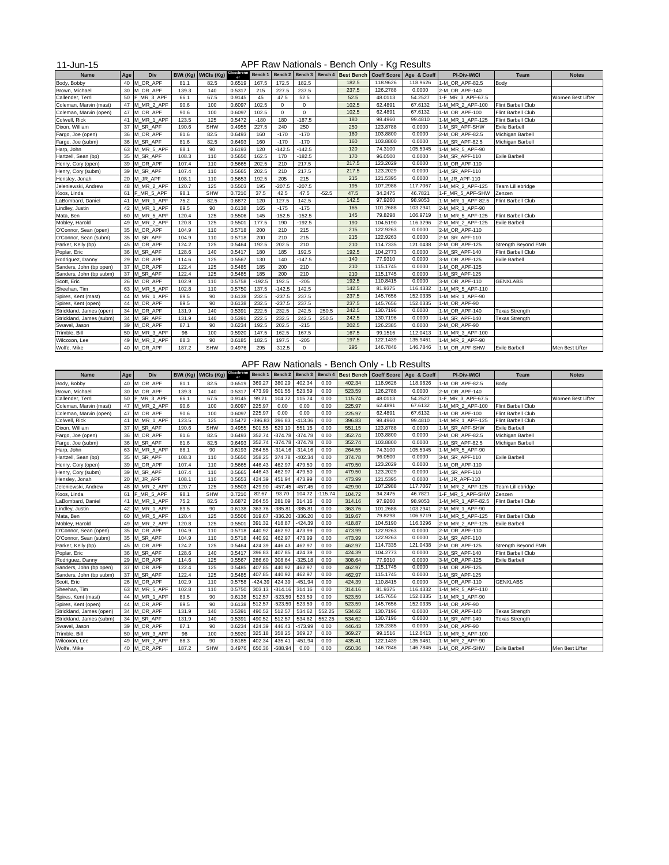| 1-Jun-15 |
|----------|
|----------|

## APF Raw Nationals - Bench Only - Kg Results

| <b>Name</b>              | <b>Age</b> | <b>Div</b>    |       | BWt (Kg)   WtCls (Kg) | Glossbrenn | Bench 1  | Bench 2     |                | Bench 3   Bench 4 | <b>Best Bench</b> |          | Coeff Score   Age & Coeff | <b>PI-Div-WtCl</b> | Team                      | <b>Notes</b>      |
|--------------------------|------------|---------------|-------|-----------------------|------------|----------|-------------|----------------|-------------------|-------------------|----------|---------------------------|--------------------|---------------------------|-------------------|
| Body, Bobby              | 40         | M_OR_APF      | 81.1  | 82.5                  | 0.6519     | 167.5    | 172.5       | 182.5          |                   | 182.5             | 118.9626 | 118.9626                  | 1-M_OR_APF-82.5    | Body                      |                   |
| Brown, Michael           |            | 30 M_OR_APF   | 139.3 | 140                   | 0.5317     | 215      | 227.5       | 237.5          |                   | 237.5             | 126.2788 | 0.0000                    | 2-M_OR_APF-140     |                           |                   |
| Callender, Terri         |            | 50 F_MR_3_APF | 66.1  | 67.5                  | 0.9145     | 45       | 47.5        | 52.5           |                   | 52.5              | 48.0113  | 54.2527                   | 1-F_MR_3_APF-67.5  |                           | Women Best Lifter |
| Coleman, Marvin (mast)   |            | 47 M_MR_2_APF | 90.6  | 100                   | 0.6097     | 102.5    | $\mathbf 0$ | $\mathbf 0$    |                   | 102.5             | 62.4891  | 67.6132                   | 1-M_MR_2_APF-100   | <b>Flint Barbell Club</b> |                   |
| Coleman, Marvin (open)   |            | 47 M_OR_APF   | 90.6  | 100                   | 0.6097     | 102.5    | $\mathbf 0$ | $\mathbf 0$    |                   | 102.5             | 62.4891  | 67.6132                   | 1-M_OR_APF-100     | Flint Barbell Club        |                   |
| Colwell, Rick            |            | 41 M_MR_1_APF | 123.5 | 125                   | 0.5472     | $-180$   | 180         | $-187.5$       |                   | 180               | 98.4960  | 99.4810                   | 1-M_MR_1_APF-125   | Flint Barbell Club        |                   |
| Dixon, William           |            | 37 M_SR_APF   | 190.6 | <b>SHW</b>            | 0.4955     | 227.5    | 240         | 250            |                   | 250               | 123.8788 | 0.0000                    | 1-M_SR_APF-SHW     | <b>Exile Barbell</b>      |                   |
| Fargo, Joe (open)        |            | 36 M_OR_APF   | 81.6  | 82.5                  | 0.6493     | 160      | $-170$      | $-170$         |                   | 160               | 103.8800 | 0.0000                    | 2-M_OR_APF-82.5    | Michigan Barbell          |                   |
| Fargo, Joe (subm)        |            | 36 M_SR_APF   | 81.6  | 82.5                  | 0.6493     | 160      | $-170$      | $-170$         |                   | 160               | 103.8800 | 0.0000                    | 1-M_SR_APF-82.5    | Michigan Barbell          |                   |
| Harp, John               |            | 63 M_MR_5_APF | 88.1  | 90                    | 0.6193     | 120      | $-142.5$    | $-142.5$       |                   | 120               | 74.3100  | 105.5945                  | 1-M_MR_5_APF-90    |                           |                   |
| Hartzell, Sean (bp)      |            | 35 M_SR_APF   | 108.3 | 110                   | 0.5650     | 162.5    | 170         | $-182.5$       |                   | 170               | 96.0500  | 0.0000                    | 3-M_SR_APF-110     | <b>Exile Barbell</b>      |                   |
| Henry, Cory (open)       |            | 39 M_OR_APF   | 107.4 | 110                   | 0.5665     | 202.5    | 210         | 217.5          |                   | 217.5             | 123.2029 | 0.0000                    | 1-M_OR_APF-110     |                           |                   |
| Henry, Cory (subm)       |            | 39 M_SR_APF   | 107.4 | 110                   | 0.5665     | 202.5    | 210         | 217.5          |                   | 217.5             | 123.2029 | 0.0000                    | 1-M_SR_APF-110     |                           |                   |
| Hensley, Jonah           | 20         | M_JR_APF      | 108.1 | 110                   | 0.5653     | 192.5    | 205         | 215            |                   | 215               | 121.5395 | 0.0000                    | 1-M_JR_APF-110     |                           |                   |
| Jeleniewski, Andrew      |            | 48 M MR 2 APF | 120.7 | 125                   | 0.5503     | 195      | $-207.5$    | $-207.5$       |                   | 195               | 107.2988 | 117.7067                  | 1-M_MR_2_APF-125   | Team Lilliebridge         |                   |
| Koos, Linda              | 61         | F_MR_5_APF    | 98.1  | <b>SHW</b>            | 0.7210     | 37.5     | 42.5        | 47.5           | $-52.5$           | 47.5              | 34.2475  | 46.7821                   | 1-F_MR_5_APF-SHW   | Zenzen                    |                   |
| LaBombard, Daniel        |            | 41 M MR 1 APF | 75.2  | 82.5                  | 0.6872     | 120      | 127.5       | 142.5          |                   | 142.5             | 97.9260  | 98.9053                   | 1-M_MR_1_APF-82.5  | <b>Flint Barbell Club</b> |                   |
| Lindley, Justin          |            | 42 M_MR_1_APF | 89.5  | 90                    | 0.6138     | 165      | $-175$      | $-175$         |                   | 165               | 101.2688 | 103.2941                  | 2-M_MR_1_APF-90    |                           |                   |
| Mata, Ben                | 60         | M_MR_5_APF    | 120.4 | 125                   | 0.5506     | 145      | $-152.5$    | $-152.5$       |                   | 145               | 79.8298  | 106.9719                  | 1-M_MR_5_APF-125   | <b>Flint Barbell Club</b> |                   |
| Mobley, Harold           |            | 49 M_MR_2_APF | 120.8 | 125                   | 0.5501     | 177.5    | 190         | $-192.5$       |                   | 190               | 104.5190 | 116.3296                  | 2-M_MR_2_APF-125   | <b>Exile Barbell</b>      |                   |
| O'Connor, Sean (open)    |            | 35 M_OR_APF   | 104.9 | 110                   | 0.5718     | 200      | 210         | 215            |                   | 215               | 122.9263 | 0.0000                    | 2-M_OR_APF-110     |                           |                   |
| O'Connor, Sean (subm)    |            | 35 M_SR_APF   | 104.9 | 110                   | 0.5718     | 200      | 210         | 215            |                   | 215               | 122.9263 | 0.0000                    | 2-M_SR_APF-110     |                           |                   |
| Parker, Kelly (bp)       |            | 45 M_OR_APF   | 124.2 | 125                   | 0.5464     | 192.5    | 202.5       | 210            |                   | 210               | 114.7335 | 121.0438                  | 2-M_OR_APF-125     | Strength Beyond FMR       |                   |
| Poplar, Eric             |            | 36 M_SR_APF   | 128.6 | 140                   | 0.5417     | 180      | 185         | 192.5          |                   | 192.5             | 104.2773 | 0.0000                    | 2-M_SR_APF-140     | Flint Barbell Club        |                   |
| Rodriguez, Danny         |            | 29 M_OR_APF   | 114.6 | 125                   | 0.5567     | 130      | 140         | $-147.5$       |                   | 140               | 77.9310  | 0.0000                    | 3-M_OR_APF-125     | <b>Exile Barbell</b>      |                   |
| Sanders, John (bp open)  |            | 37 M_OR_APF   | 122.4 | 125                   | 0.5485     | 185      | 200         | 210            |                   | 210               | 115.1745 | 0.0000                    | 1-M_OR_APF-125     |                           |                   |
| Sanders, John (bp subm)  |            | 37 M_SR_APF   | 122.4 | 125                   | 0.5485     | 185      | 200         | 210            |                   | 210               | 115.1745 | 0.0000                    | 1-M_SR_APF-125     |                           |                   |
| Scott, Eric              |            | 26 M_OR_APF   | 102.9 | 110                   | 0.5758     | $-192.5$ | 192.5       | $-205$         |                   | 192.5             | 110.8415 | 0.0000                    | 3-M_OR_APF-110     | <b>GENXLABS</b>           |                   |
| Sheehan, Tim             |            | 63 M_MR_5_APF | 102.8 | 110                   | 0.5750     | 137.5    | $-142.5$    | 142.5          |                   | 142.5             | 81.9375  | 116.4332                  | 1-M_MR_5_APF-110   |                           |                   |
| Spires, Kent (mast)      |            | 44 M MR 1 APF | 89.5  | 90                    | 0.6138     | 232.5    | $-237.5$    | 237.5          |                   | 237.5             | 145.7656 | 152.0335                  | 1-M_MR_1_APF-90    |                           |                   |
| Spires, Kent (open)      |            | 44 M_OR_APF   | 89.5  | 90                    | 0.6138     | 232.5    | $-237.5$    | 237.5          |                   | 237.5             | 145.7656 | 152.0335                  | 1-M OR APF-90      |                           |                   |
| Strickland, James (open) |            | 34 M_OR_APF   | 131.9 | 140                   | 0.5391     | 222.5    | 232.5       | 242.5          | 250.5             | 242.5             | 130.7196 | 0.0000                    | 1-M_OR_APF-140     | <b>Texas Strength</b>     |                   |
| Strickland, James (subm) |            | 34 M_SR_APF   | 131.9 | 140                   | 0.5391     | 222.5    | 232.5       | 242.5          | 250.5             | 242.5             | 130.7196 | 0.0000                    | 1-M_SR_APF-140     | <b>Texas Strength</b>     |                   |
| Swavel, Jason            |            | 39 M_OR_APF   | 87.1  | 90                    | 0.6234     | 192.5    | 202.5       | $-215$         |                   | 202.5             | 126.2385 | 0.0000                    | 2-M_OR_APF-90      |                           |                   |
| Trimble, Bill            |            | 50 M_MR_3_APF | 96    | 100                   | 0.5920     | 147.5    | 162.5       | 167.5          |                   | 167.5             | 99.1516  | 112.0413                  | 1-M_MR_3_APF-100   |                           |                   |
| Wilcoxon, Lee            |            | 49 M_MR_2_APF | 88.3  | 90                    | 0.6185     | 182.5    | 197.5       | $-205$         |                   | 197.5             | 122.1439 | 135.9461                  | 1-M_MR_2_APF-90    |                           |                   |
| Wolfe, Mike              |            | 40 M_OR_APF   | 187.2 | <b>SHW</b>            | 0.4976     | 295      | $-312.5$    | $\overline{0}$ |                   | 295               | 146.7846 | 146.7846                  | 1-M_OR_APF-SHW     | <b>Exile Barbell</b>      | Men Best Lifter   |

## APF Raw Nationals - Bench Only - Lb Results

| <b>Name</b>              | Age | <b>Div</b>    |       | BWt (Kg)   WtCls (Kg) | Glossbrenn | Bench 1   | Bench 2   Bench 3   Bench 4    |           |           |        |          | <b>Best Bench   Coeff Score   Age &amp; Coeff</b> | <b>PI-Div-WtCl</b> | <b>Team</b>               | <b>Notes</b>      |
|--------------------------|-----|---------------|-------|-----------------------|------------|-----------|--------------------------------|-----------|-----------|--------|----------|---------------------------------------------------|--------------------|---------------------------|-------------------|
| Body, Bobby              | 40  | M_OR_APF      | 81.1  | 82.5                  | 0.6519     | 369.27    | 380.29                         | 402.34    | 0.00      | 402.34 | 118.9626 | 118.9626                                          | 1-M_OR_APF-82.5    | Body                      |                   |
| Brown, Michael           | 30  | M_OR_APF      | 139.3 | 140                   | 0.5317     | 473.99    | 501.55                         | 523.59    | 0.00      | 523.59 | 126.2788 | 0.0000                                            | 2-M_OR_APF-140     |                           |                   |
| Callender, Terri         | 50  | F_MR_3_APF    | 66.1  | 67.5                  | 0.9145     | 99.21     | 104.72                         | 115.74    | 0.00      | 115.74 | 48.0113  | 54.2527                                           | 1-F_MR_3_APF-67.5  |                           | Women Best Lifter |
| Coleman, Marvin (mast)   | 47  | M_MR_2_APF    | 90.6  | 100                   | 0.6097     | 225.97    | 0.00                           | 0.00      | 0.00      | 225.97 | 62.4891  | 67.6132                                           | 1-M_MR_2_APF-100   | <b>Flint Barbell Club</b> |                   |
| Coleman, Marvin (open)   | 47  | M_OR_APF      | 90.6  | 100                   | 0.6097     | 225.97    | 0.00                           | 0.00      | 0.00      | 225.97 | 62.4891  | 67.6132                                           | 1-M_OR_APF-100     | <b>Flint Barbell Club</b> |                   |
| Colwell, Rick            | 41  | M_MR_1_APF    | 123.5 | 125                   | 0.5472     | $-396.83$ | 396.83                         | $-413.36$ | 0.00      | 396.83 | 98.4960  | 99.4810                                           | 1-M_MR_1_APF-125   | Flint Barbell Club        |                   |
| Dixon, William           | 37  | M SR APF      | 190.6 | <b>SHW</b>            | 0.4955     | 501.55    | 529.10                         | 551.15    | 0.00      | 551.15 | 123.8788 | 0.0000                                            | 1-M_SR_APF-SHW     | <b>Exile Barbell</b>      |                   |
| Fargo, Joe (open)        | 36  | M OR APF      | 81.6  | 82.5                  | 0.6493     | 352.74    | $-374.78$                      | $-374.78$ | 0.00      | 352.74 | 103.8800 | 0.0000                                            | 2-M_OR_APF-82.5    | Michigan Barbell          |                   |
| Fargo, Joe (subm)        | 36  | M_SR_APF      | 81.6  | 82.5                  | 0.6493     | 352.74    | $-374.78$                      | $-374.78$ | 0.00      | 352.74 | 103.8800 | 0.0000                                            | 1-M_SR_APF-82.5    | Michigan Barbell          |                   |
| Harp, John               | 63  | M_MR_5_APF    | 88.1  | 90                    | 0.6193     | 264.55    | $-314.16$                      | $-314.16$ | 0.00      | 264.55 | 74.3100  | 105.5945                                          | 1-M_MR_5_APF-90    |                           |                   |
| Hartzell, Sean (bp)      | 35  | M_SR_APF      | 108.3 | 110                   | 0.5650     | 358.25    | 374.78                         | $-402.34$ | 0.00      | 374.78 | 96.0500  | 0.0000                                            | 3-M_SR_APF-110     | <b>Exile Barbell</b>      |                   |
| Henry, Cory (open)       | 39  | M_OR_APF      | 107.4 | 110                   | 0.5665     | 446.43    | 462.97                         | 479.50    | 0.00      | 479.50 | 123.2029 | 0.0000                                            | 1-M_OR_APF-110     |                           |                   |
| Henry, Cory (subm)       | 39  | M_SR_APF      | 107.4 | 110                   | 0.5665     | 446.43    | 462.97                         | 479.50    | 0.00      | 479.50 | 123.2029 | 0.0000                                            | 1-M_SR_APF-110     |                           |                   |
| Hensley, Jonah           | 20  | M_JR_APF      | 108.1 | 110                   | 0.5653     | 424.39    | 451.94                         | 473.99    | 0.00      | 473.99 | 121.5395 | 0.0000                                            | 1-M_JR_APF-110     |                           |                   |
| Jeleniewski, Andrew      | 48  | M_MR_2_APF    | 120.7 | 125                   | 0.5503     | 429.90    | $-457.45$                      | $-457.45$ | 0.00      | 429.90 | 107.2988 | 117.7067                                          | 1-M_MR_2_APF-125   | Team Lilliebridge         |                   |
| Koos, Linda              | 61  | F_MR_5_APF    | 98.1  | <b>SHW</b>            | 0.7210     | 82.67     | 93.70                          | 104.72    | $-115.74$ | 104.72 | 34.2475  | 46.7821                                           | 1-F_MR_5_APF-SHW   | Zenzen                    |                   |
| LaBombard, Daniel        | 41  | M_MR_1_APF    | 75.2  | 82.5                  | 0.6872     | 264.55    | 281.09                         | 314.16    | 0.00      | 314.16 | 97.9260  | 98.9053                                           | 1-M_MR_1_APF-82.5  | Flint Barbell Club        |                   |
| Lindley, Justin          | 42  | M_MR_1_APF    | 89.5  | 90                    | 0.6138     | 363.76    | $-385.81$                      | $-385.81$ | 0.00      | 363.76 | 101.2688 | 103.2941                                          | 2-M_MR_1_APF-90    |                           |                   |
| Mata, Ben                | 60  | M_MR_5_APF    | 120.4 | 125                   | 0.5506     | 319.67    | $-336.20$                      | $-336.20$ | 0.00      | 319.67 | 79.8298  | 106.9719                                          | 1-M_MR_5_APF-125   | Flint Barbell Club        |                   |
| Mobley, Harold           | 49  | M_MR_2_APF    | 120.8 | 125                   | 0.5501     | 391.32    | 418.87                         | $-424.39$ | 0.00      | 418.87 | 104.5190 | 116.3296                                          | 2-M_MR_2_APF-125   | <b>Exile Barbell</b>      |                   |
| O'Connor, Sean (open)    | 35  | M_OR_APF      | 104.9 | 110                   | 0.5718     | 440.92    | 462.97                         | 473.99    | 0.00      | 473.99 | 122.9263 | 0.0000                                            | 2-M_OR_APF-110     |                           |                   |
| O'Connor, Sean (subm)    | 35  | M_SR_APF      | 104.9 | 110                   | 0.5718     | 440.92    | 462.97                         | 473.99    | 0.00      | 473.99 | 122.9263 | 0.0000                                            | 2-M_SR_APF-110     |                           |                   |
| Parker, Kelly (bp)       | 45  | M_OR_APF      | 124.2 | 125                   | 0.5464     | 424.39    | 446.43                         | 462.97    | 0.00      | 462.97 | 114.7335 | 121.0438                                          | 2-M_OR_APF-125     | Strength Beyond FMR       |                   |
| Poplar, Eric             | 36  | M_SR_APF      | 128.6 | 140                   | 0.5417     | 396.83    | 407.85                         | 424.39    | 0.00      | 424.39 | 104.2773 | 0.0000                                            | 2-M_SR_APF-140     | <b>Flint Barbell Club</b> |                   |
| Rodriguez, Danny         | 29  | M_OR_APF      | 114.6 | 125                   | 0.5567     | 286.60    | 308.64                         | $-325.18$ | 0.00      | 308.64 | 77.9310  | 0.0000                                            | 3-M_OR_APF-125     | <b>Exile Barbell</b>      |                   |
| Sanders, John (bp open)  |     | 37 M_OR_APF   | 122.4 | 125                   | 0.5485     | 407.85    | 440.92                         | 462.97    | 0.00      | 462.97 | 115.1745 | 0.0000                                            | 1-M_OR_APF-125     |                           |                   |
| Sanders, John (bp subm)  |     | 37 M_SR_APF   | 122.4 | 125                   | 0.5485     | 407.85    | 440.92                         | 462.97    | 0.00      | 462.97 | 115.1745 | 0.0000                                            | 1-M_SR_APF-125     |                           |                   |
| Scott, Eric              | 26  | M_OR_APF      | 102.9 | 110                   | 0.5758     | $-424.39$ | 424.39                         | $-451.94$ | 0.00      | 424.39 | 110.8415 | 0.0000                                            | 3-M_OR_APF-110     | <b>GENXLABS</b>           |                   |
| Sheehan, Tim             | 63  | M_MR_5_APF    | 102.8 | 110                   | 0.5750     | 303.13    | $-314.16$                      | 314.16    | 0.00      | 314.16 | 81.9375  | 116.4332                                          | 1-M_MR_5_APF-110   |                           |                   |
| Spires, Kent (mast)      |     | 44 M_MR_1_APF | 89.5  | 90                    | 0.6138     | 512.57    | $-523.59$                      | 523.59    | 0.00      | 523.59 | 145.7656 | 152.0335                                          | 1-M_MR_1_APF-90    |                           |                   |
| Spires, Kent (open)      |     | 44 M_OR_APF   | 89.5  | 90                    |            |           | $0.6138$ 512.57 -523.59 523.59 |           | 0.00      | 523.59 | 145.7656 | 152.0335                                          | 1-M_OR_APF-90      |                           |                   |
| Strickland, James (open) |     | 34 M_OR_APF   | 131.9 | 140                   | 0.5391     | 490.52    | 512.57                         | 534.62    | 552.25    | 534.62 | 130.7196 | 0.0000                                            | 1-M_OR_APF-140     | <b>Texas Strength</b>     |                   |
| Strickland, James (subm) |     | 34 M_SR_APF   | 131.9 | 140                   | 0.5391     | 490.52    | 512.57                         | 534.62    | 552.25    | 534.62 | 130.7196 | 0.0000                                            | 1-M_SR_APF-140     | <b>Texas Strength</b>     |                   |
| Swavel, Jason            |     | 39 M_OR_APF   | 87.1  | 90                    | 0.6234     | 424.39    | 446.43                         | -473.99   | 0.00      | 446.43 | 126.2385 | 0.0000                                            | 2-M_OR_APF-90      |                           |                   |
| Trimble, Bill            |     | 50 M_MR_3_APF | 96    | 100                   | 0.5920     | 325.18    | 358.25                         | 369.27    | 0.00      | 369.27 | 99.1516  | 112.0413                                          | 1-M_MR_3_APF-100   |                           |                   |
| Wilcoxon, Lee            |     | 49 M_MR_2_APF | 88.3  | 90                    | 0.6185     | 402.34    | 435.41                         | $-451.94$ | 0.00      | 435.41 | 122.1439 | 135.9461                                          | 1-M_MR_2_APF-90    |                           |                   |
| Wolfe, Mike              |     | 40 M_OR_APF   | 187.2 | <b>SHW</b>            | 0.4976     |           | 650.36 -688.94                 | 0.00      | 0.00      | 650.36 | 146.7846 | 146.7846                                          | 1-M_OR_APF-SHW     | Exile Barbell             | Men Best Lifter   |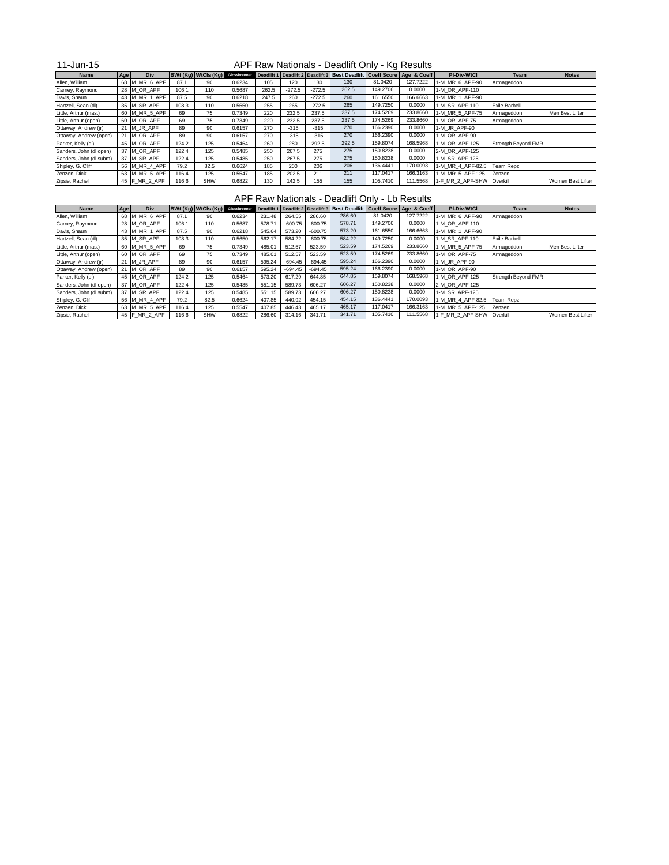### 11-Jun-15

| <b>Name</b>             | Age | Div             |       | BWt(Kg) WtCls(Kg) | Glossbrenner |       |          |          | Deadlift 1   Deadlift 2   Deadlift 3   Best Deadlift   Coeff Score   Age & Coeff |          |          | <b>PI-Div-WtCl</b> | Team                 | <b>Notes</b>      |
|-------------------------|-----|-----------------|-------|-------------------|--------------|-------|----------|----------|----------------------------------------------------------------------------------|----------|----------|--------------------|----------------------|-------------------|
| Allen, William          |     | 68 M_MR_6_APF   | 87.1  | 90                | 0.6234       | 105   | 120      | 130      | 130                                                                              | 81.0420  | 127.7222 | 1-M MR 6 APF-90    | Armageddon           |                   |
| Carney, Raymond         |     | 28 $M$ OR APF   | 106.1 | 110               | 0.5687       | 262.5 | $-272.5$ | $-272.5$ | 262.5                                                                            | 149.2706 | 0.0000   | 1-M OR APF-110     |                      |                   |
| Davis, Shaun            |     | 43 M_MR_1_APF   | 87.5  | 90                | 0.6218       | 247.5 | 260      | $-272.5$ | 260                                                                              | 161.6550 | 166.6663 | 1-M_MR_1_APF-90    |                      |                   |
| Hartzell, Sean (dl)     |     | 35 M_SR_APF     | 108.3 | 110               | 0.5650       | 255   | 265      | $-272.5$ | 265                                                                              | 149.7250 | 0.0000   | 1-M SR APF-110     | <b>Exile Barbell</b> |                   |
| Little, Arthur (mast)   |     | 60 M_MR_5_APF   | 69    | 75                | 0.7349       | 220   | 232.5    | 237.5    | 237.5                                                                            | 174.5269 | 233.8660 | 1-M_MR_5_APF-75    | Armageddon           | Men Best Lifter   |
| Little, Arthur (open)   |     | 60 M_OR_APF     | 69    | 75                | 0.7349       | 220   | 232.5    | 237.5    | 237.5                                                                            | 174.5269 | 233.8660 | 1-M OR APF-75      | Armageddon           |                   |
| Ottaway, Andrew (jr)    |     | 21 M_JR_APF     | 89    | 90                | 0.6157       | 270   | $-315$   | $-315$   | 270                                                                              | 166.2390 | 0.0000   | 1-M JR APF-90      |                      |                   |
| Ottaway, Andrew (open)  | 21  | M OR APF        | 89    | 90                | 0.6157       | 270   | $-315$   | $-315$   | 270                                                                              | 166.2390 | 0.0000   | 1-M OR APF-90      |                      |                   |
| Parker, Kelly (dl)      |     | 45 M OR APF     | 124.2 | 125               | 0.5464       | 260   | 280      | 292.5    | 292.5                                                                            | 159.8074 | 168.5968 | 1-M OR APF-125     | Strength Beyond FMR  |                   |
| Sanders, John (dl open) |     | 37 M_OR_APF     | 122.4 | 125               | 0.5485       | 250   | 267.5    | 275      | 275                                                                              | 150.8238 | 0.0000   | 2-M OR APF-125     |                      |                   |
| Sanders, John (dl subm) |     | 37 M_SR_APF     | 122.4 | 125               | 0.5485       | 250   | 267.5    | 275      | 275                                                                              | 150.8238 | 0.0000   | 1-M SR APF-125     |                      |                   |
| Shipley, G. Cliff       |     | 56 M MR 4 APF   | 79.2  | 82.5              | 0.6624       | 185   | 200      | 206      | 206                                                                              | 136.4441 | 170.0093 | 1-M MR 4 APF-82.5  | Team Repz            |                   |
| Zenzen, Dick            |     | 63 M MR 5 APF   | 116.4 | 125               | 0.5547       | 185   | 202.5    | 211      | 211                                                                              | 117.0417 | 166.3163 | 1-M MR 5 APF-125   | Zenzen               |                   |
| Zipsie, Rachel          |     | 45   F_MR_2_APF | 116.6 | <b>SHW</b>        | 0.6822       | 130   | 142.5    | 155      | 155                                                                              | 105.7410 | 111.5568 | 1-F MR 2 APF-SHW   | Overkill             | Women Best Lifter |

# APF Raw Nationals - Deadlift Only - Lb Results

| <b>Name</b>             | Age | Div            |       | <b>BWt (Kg) WtCls (Kg)</b> | Glossbrenner | Deadlift 1 | Deadlift 2 Deadlift 3 |           | Best Deadlift   Coeff Score   Age & Coeff |          |          | <b>PI-Div-WtCl</b> | Team                 | <b>Notes</b>      |
|-------------------------|-----|----------------|-------|----------------------------|--------------|------------|-----------------------|-----------|-------------------------------------------|----------|----------|--------------------|----------------------|-------------------|
| Allen, William          |     | 68 M_MR_6_APF  | 87.1  | 90                         | 0.6234       | 231.48     | 264.55                | 286.60    | 286.60                                    | 81.0420  | 127.7222 | 1-M_MR_6_APF-90    | Armageddon           |                   |
| Carney, Raymond         |     | 28 $M$ OR APF  | 106.1 | 110                        | 0.5687       | 578.71     | $-600.75$             | $-600.75$ | 578.71                                    | 149.2706 | 0.0000   | 1-M OR APF-110     |                      |                   |
| Davis, Shaun            |     | 43 M_MR_1_APF  | 87.5  | 90                         | 0.6218       | 545.64     | 573.20                | $-600.75$ | 573.20                                    | 161.6550 | 166.6663 | 1-M MR 1 APF-90    |                      |                   |
| Hartzell, Sean (dl)     |     | 35 M_SR_APF    | 108.3 | 110                        | 0.5650       | 562.17     | 584.22                | $-600.75$ | 584.22                                    | 149.7250 | 0.0000   | 1-M SR APF-110     | <b>Exile Barbell</b> |                   |
| Little, Arthur (mast)   |     | 60 M_MR_5_APF  | 69    | 75                         | 0.7349       | 485.01     | 512.57                | 523.59    | 523.59                                    | 174.5269 | 233.8660 | 1-M MR 5 APF-75    | Armageddon           | Men Best Lifter   |
| Little, Arthur (open)   |     | 60 M OR APF    | 69    | 75                         | 0.7349       | 485.01     | 512.57                | 523.59    | 523.59                                    | 174.5269 | 233.8660 | 1-M OR APF-75      | Armageddon           |                   |
| Ottaway, Andrew (jr)    | 21  | M JR APF       | 89    | 90                         | 0.6157       | 595.24     | $-694.45$             | $-694.45$ | 595.24                                    | 166.2390 | 0.0000   | 1-M JR APF-90      |                      |                   |
| Ottaway, Andrew (open)  |     | 21 $M$ OR APF  | 89    | 90                         | 0.6157       | 595.24     | $-694.45$             | $-694.45$ | 595.24                                    | 166.2390 | 0.0000   | 1-M OR APF-90      |                      |                   |
| Parker, Kelly (dl)      |     | 45 M OR APF    | 124.2 | 125                        | 0.5464       | 573.20     | 617.29                | 644.85    | 644.85                                    | 159.8074 | 168.5968 | 1-M OR APF-125     | Strength Beyond FMR  |                   |
| Sanders, John (dl open) |     | 37 M OR APF    | 122.4 | 125                        | 0.5485       | 551.15     | 589.73                | 606.27    | 606.27                                    | 150.8238 | 0.0000   | 2-M OR APF-125     |                      |                   |
| Sanders, John (dl subm) |     | 37 M SR APF    | 122.4 | 125                        | 0.5485       | 551.15     | 589.73                | 606.27    | 606.27                                    | 150.8238 | 0.0000   | 1-M SR APF-125     |                      |                   |
| Shipley, G. Cliff       |     | 56 M_MR_4_APF  | 79.2  | 82.5                       | 0.6624       | 407.85     | 440.92                | 454.15    | 454.15                                    | 136.4441 | 170.0093 | 1-M_MR_4_APF-82.5  | <b>Team Repz</b>     |                   |
| Zenzen, Dick            |     | 63 M_MR_5_APF  | 116.4 | 125                        | 0.5547       | 407.85     | 446.43                | 465.17    | 465.17                                    | 117.0417 | 166.3163 | 1-M MR 5 APF-125   | Zenzen               |                   |
| Zipsie, Rachel          |     | 45  F MR 2 APF | 116.6 | <b>SHW</b>                 | 0.6822       | 286.60     | 314.16                | 341.71    | 341.71                                    | 105.7410 | 111.5568 | 1-F MR 2 APF-SHW   | <b>Overkill</b>      | Women Best Lifter |

## APF Raw Nationals - Deadlift Only - Kg Results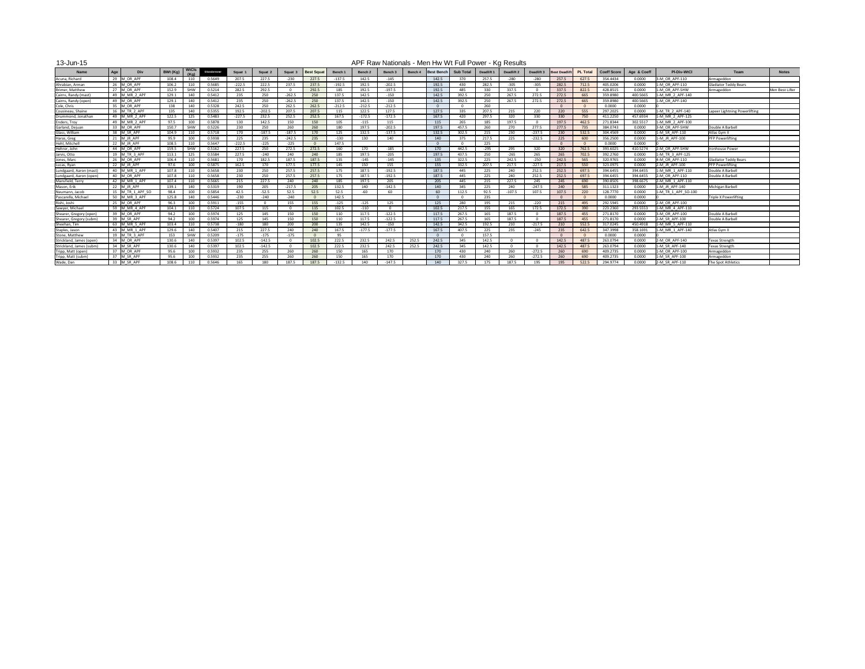#### 13-Jun-15

| .                        |     |                       |          |                      |              |          |          |          |                   |          |          |          |         |                   |                  |            | .          |                         |                      |                 |                    |             |                     |                               |                 |
|--------------------------|-----|-----------------------|----------|----------------------|--------------|----------|----------|----------|-------------------|----------|----------|----------|---------|-------------------|------------------|------------|------------|-------------------------|----------------------|-----------------|--------------------|-------------|---------------------|-------------------------------|-----------------|
| <b>Name</b>              | Age | Div                   | BWt (Kg) | <b>WtCls</b><br>(Ka) | Glossbrenner | Squat :  | Squat 2  | Squat    | <b>Best Squat</b> | Bench '  | Bench 2  | Bench 3  | Bench 4 | <b>Best Bench</b> | <b>Sub Total</b> | Deadlift 1 | Deadlift 2 | Deadlift 3              | <b>Best Deadlift</b> | <b>PL Total</b> | <b>Coeff Score</b> | Age & Coeff | <b>PI-Div-WtCl</b>  | Team                          | <b>Notes</b>    |
| Acuna, Richard           |     | 29 M OR APF           | 108.4    | 110                  | 0.5649       | 207.5    | 227.5    | $-230$   | 227.5             | $-137.5$ | 142.5    | $-145$   |         | 142.5             | 370              | 257.5      | $-280$     | $-280$                  | 257.5                | 627.5           | 354.4434           | 0.0000      | 3-M OR APF-110      | Armageddon                    |                 |
| Ahrabian, Arman          |     | 26 M OR APF           | 106.2    | 110                  | 0.5685       | $-222.5$ | 222.5    | 237.5    | 237.5             | $-192.5$ | 192.5    | $-202.5$ |         | 192.5             | 430              | 282.5      | $-305$     | $-305$                  | 282.5                | 712.5           | 405.0206           | 0.0000      | 1-M OR APF-110      | Gladiator Teddy Bears         |                 |
| Brimer, Matthew          |     | 27 M OR APF           | 152.9    | SHW                  | 0.5214       | 282.5    | 292.5    |          | 292.5             | 185      | 192.5    | $-197.5$ |         | 192.5             | 485              | 330        | 337.5      | $\overline{0}$          | 337.5                | 822.5           | 428.8515           | 0.0000      | 1-M OR APF-SHW      | Armageddon                    | Men Best Lifter |
| Cairns, Randy (mast)     |     | 49 M MR 2 APF         | 129.1    | 140                  | 0.5412       | 235      | 250      | $-262.5$ | 250               | 137.5    | 142.5    | $-150$   |         | 142.5             | 392.5            | 250        | 267.5      | 272.5                   | 272.5                | 665             | 359.8980           | 400.5665    | 1-M MR 2 APF-140    |                               |                 |
| Cairns, Randy (open)     |     | 49 M OR APF           | 129.1    | 140                  | 0.5412       | 235      | 250      | $-262.5$ | 250               | 137.5    | 142.5    | $-150$   |         | 142.5             | 392.5            | 250        | 267.5      | 272.5                   | 272.5                | 665             | 359.8980           | 400.5665    | 1-M OR APF-140      |                               |                 |
| Cole, Chris              |     | 35 M OR APF           | 138      | 140                  | 0.5328       | 242.5    | 250      | 262.5    | 262.5             | $-212.5$ | $-212.5$ | $-212.5$ |         | $\Omega$          |                  | 260        |            |                         |                      | - റ             | 0.0000             | 0.0000      |                     |                               |                 |
| Cousineau, Shaine        |     | 16   M TR 2 APF       | 135      | 140                  | 0.5355       | 192.5    | $-202.5$ | 207.5    | 207.5             | 115      | 122.5    | 127.5    |         | 127.5             | 335              | 207.5      | 215        | 220                     | 220                  | 555             | 297.2025           | 0.0000      | 1-M TR 2 APF-140    | Lapeer Lightning Powerlifting |                 |
| Drummond, Jonathan       |     | 49   M MR 2 APF       | 122.5    | 125                  | 0.5483       | $-227.5$ | 232.5    | 252.5    | 252.5             | 167.5    | $-172.5$ | $-172.5$ |         | 167.5             | 420              | 297.5      | 320        | 330                     | 330                  | 750             | 411.2250           | 457.6934    | 1-M MR 2 APF-125    |                               |                 |
| Enders, Troy             |     | 49  M MR 2 APF        | 97.5     | 100                  | 0.5878       | 130      | 142.5    | 150      | 150               | 105      | $-115$   | 115      |         | 115               | 265              | 185        | 197.5      | $\overline{0}$          | 197.5                | 462.5           | 271.8344           | 302.5517    | 1-M MR 2 APF-100    |                               |                 |
| Garland, Dejuar          |     | 33 M OR APF           | 150.7    | SHW                  | 0.5226       | 230      | 250      | 260      | 260               | 180      | 197.5    | $-202.5$ |         | 197.5             | 457.5            | 260        | 270        | 277.5                   | 277.5                | 735             | 384.0743           | 0.0000      | 3-M OR APF-SHW      | Double A Barbell              |                 |
| Glass, William           |     | 38 M SR APF           | 104.9    | 110                  | 0.5718       | 170      | $-187.5$ | $-187.5$ | 170               | 125      | 132.5    | $-137.5$ |         | 132.5             | 302.5            | 215        | 230        | $-237.5$                | 230                  | 532.5           | 304.4569           | 0.0000      | 1-M SR APF-110      | Atlas Gym II                  |                 |
| Haras, Greg              |     | 21 M JR APF           | 95.9     | 100                  | 0.5938       | 225      | 235      | $-242.5$ | 235               | $-130$   | 130      | 140      |         | 140               | 375              | 217.5      | 225        | $-232.5$                | 225                  | 600             | 356.2500           | 0.0000      | 1-M JR APF-100      | <b>PFP Powerlifting</b>       |                 |
| Hehl, Mitchell           |     | 22 $\vert$ M JR APF   | 108.5    | 11(                  | 0.5647       | $-222.5$ | $-225$   | $-225$   |                   | 147.5    |          |          |         | $\overline{0}$    |                  | 225        |            |                         |                      | - 0             | 0.0000             | 0.0000      |                     |                               |                 |
| Hehrer, John             |     | 44 M OR APF           | 159.5    | SHW                  | 0.5162       | 227.5    | 250      | 272.5    | 272.5             | 160      | 170      | $-185$   |         | 170               | 442.5            | $-295$     | 295        | 320                     | 320                  | 762.5           | 393.6025           | 410.5274    | 2-M OR APF-SHW      | <b>Ironhouse Power</b>        |                 |
| Jarvis, Otto             |     | 19 M TR 3 APF         | 113.1    | 125                  | 0.5584       | 227.5    | -240     | 240      | 240               | 185      | 197.5    | $-205$   |         | 197.5             | 437.5            | 250        | -265       | 265                     | 265                  | 702.5           | 392.2760           | 0.0000      | 1-M TR 3 APF-125    |                               |                 |
| Jones, Marc              |     | 26 M OR APF           | 106.4    | 110                  | 0.5681       | 170      | 182.5    | 187.5    | 187.5             | 135      | $-145$   | -145     |         | 135               | 322.5            | 225        | 242.5      | $-250$                  | 242.5                | 565             | 320.9765           | 0.0000      | 4-M OR APF-110      | <b>Gladiator Teddy Bears</b>  |                 |
| Lucas, Ryan              |     | 22 M JR APF           | 97.6     | 100                  | 0.5875       | 162.5    | 170      | 177.5    | 177.5             | 145      | 150      | 155      |         | 155               | 332.5            | 207.5      | 217.5      | $-227.5$                | 217.5                | 550             | 323.0975           | 0.0000      | 2-M JR APF-100      | <b>PFP Powerlifting</b>       |                 |
| Lundgaard, Aaron (mast)  |     | 40 M MR 1 APF         | 107.8    | 110                  | 0.5658       | 230      | 250      | 257.5    | 257.5             | 175      | 187.5    | $-192.5$ |         | 187.5             | 445              | 225        | 240        | 252.5                   | 252.5                | 697.5           | 394.6455           | 394.6455    | 1-M MR 1 APF-110    | Double A Barbell              |                 |
| Lundgaard, Aaron (open   |     | 40 M OR APF           | 107.8    | 110                  | 0.5658       | 230      | 250      | 257.5    | 257.5             | 175      | 187.5    | $-192.5$ |         | 187.5             | 445              | 225        | 240        | 252.5                   | 252.5                | 697.5           | 394.6455           | 394.6455    | 2-M OR APF-110      | Double A Barbell              |                 |
| Mansfield, Terry         |     | 42 M MR 1 APF         | 107.4    | 110                  | 0.5665       | 215      | 227.5    | 240      | 240               | 185      | 197.5    | 205      |         | 205               | 445              | 215        | 227.5      | 245                     | 245                  | 690             | 390.8505           | 398.6675    | 2-M MR 1 APF-110    |                               |                 |
| Mason, Erik              |     | 22 M JR APF           | 139.1    | 140                  | 0.5319       | 190      | 205      | $-217.5$ | 205               | 132.5    | 140      | $-142.5$ |         | 140               | 345              | 225        | 240        | $-247.5$                | 240                  | 585             | 311.1323           | 0.0000      | 1-M JR APF-140      | Michigan Barbell              |                 |
| Neumann, Jacob           |     | 15 M TR 1 APF SO      | 98.4     | 100                  | 0.5854       | 42.5     | $-52.5$  | 52.5     | 52.5              | 52.5     | -60      | -60      |         | 60                | 112.5            | 92.5       | $-107.5$   | 107.5                   | 107.5                | 220             | 128.7770           | 0.0000      | 1-M TR 1 APF SO-100 |                               |                 |
| Pascarella, Michael      |     | 50 $\vert$ M MR 3 APF | 125.8    | 140                  | 0.5446       | $-230$   | -240     | $-240$   |                   | 142.5    |          |          |         | $\overline{0}$    |                  | 235        |            |                         |                      | - റ             | 0.0000             | 0.0000      |                     | <b>Triple X Powerlifting</b>  |                 |
| Rishi, Joshi             |     | 25 M OR APF           | 96.3     | 10 <sub>0</sub>      | 0.5911       | $-155$   |          | 155      | 155               | $-125$   | $-125$   | 125      |         | 125               | 280              | 195        | 215        | $-220$                  | 215                  | 495             | 292.5945           | 0.0000      | 2-M OR APF-100      |                               |                 |
| Sawyer, Michael          |     | 59 M MR 4 APF         | 104.1    | 110                  | 0.5724       | 107.5    | 115      |          | 115               | 102.5    | $-110$   |          |         | 102.5             | 217.5            | 155        | 165        | 172.5                   | 172.5                | 390             | 223.2360           | 293.5553    | 1-M MR 4 APF-110    |                               |                 |
| Shearer, Gregory (open   |     | 39 M OR APF           | 94.2     | 100                  | 0.5974       | 125      | 145      | 150      | 150               | 110      | 117.5    | $-122.5$ |         | 117.5             | 267.5            | 165        | 187.5      | $\overline{0}$          | 187.5                | 455             | 271.8170           | 0.0000      | 3-M OR APF-100      | Double A Barbell              |                 |
| Shearer, Gregory (subm   |     | 39 M SR APF           | 94.2     | 100                  | 0.5974       | 125      | 145      | 150      | 150               | 110      | 117.5    | $-122.5$ |         | 117.5             | 267.5            | 165        | 187.5      | - 0                     | 187.5                | 455             | 271.8170           | 0.0000      | 2-M SR APF-100      | Double A Barbell              |                 |
| Sheehan, Tim             |     | 63 M MR 5 APF         | 103.4    | 110                  | 0.5738       | $-180$   | 180      | 200      | 200               | 135      | 142.5    | $-150$   |         | 142.5             | 342.5            | 192.5      | 210        | $-217.5$                | 210                  | 552.5           | 317.0245           | 450.4918    | 1-M MR 5 APF-110    |                               |                 |
| Staples, Jason           |     | 43 M MR 1 APF         | 129.6    | 140                  | 0.5407       | 215      | 227.5    | 240      | 240               | 167.5    | $-177.5$ | $-177.5$ |         | 167.5             | 407.5            | 225        | 235        | $-245$                  | 235                  | 642.5           | 347.3998           | 358.1691    | 1-M MR 1 APF-140    | Atlas Gym II                  |                 |
| Stone, Matthew           |     | 19  M TR 3 APF        | 153      | <b>SHW</b>           | 0.5209       | $-175$   | $-175$   | $-175$   |                   | -95      |          |          |         |                   |                  | 157.5      |            |                         |                      |                 | 0.0000             | 0.0000      |                     |                               |                 |
| Strickland, James (open) |     | 34 M OR APF           | 130.6    | 140                  | 0.5397       | 102.5    | $-142.5$ |          | 102.5             | 222.5    | 232.5    | 242.5    | 252.5   | 242.5             | 345              | 142.5      |            | $\overline{0}$          | 142.5                | 487.5           | 263.0794           | 0.0000      | 2-M OR APF-140      | <b>Texas Strength</b>         |                 |
| Strickland, James (subm  |     | 34 M_SR_APF           | 130.6    | 140                  | 0.5397       | 102.5    | $-142.5$ |          | 102.5             | 222.5    | 232.5    | 242.5    | 252.5   | 242.5             | 345              | 142.5      |            | $\overline{\mathbf{0}}$ | 142.5                | 487.5           | 263.0794           | 0.0000      | 1-M SR APF-140      | Texas Strength                |                 |
| Tripp, Matt (open)       |     | 37 M_OR_APF           | 95.6     | 100                  | 0.5932       | 235      | 255      | 260      | 260               | 150      | 165      | 170      |         | 170               | 430              | 240        | 260        | $-272.5$                | 260                  | 690             | 409.2735           | 0.0000      | 1-M OR APF-100      | Armageddon                    |                 |
| Tripp, Matt (subm)       |     | 37 M SR APF           | 95.6     | 100                  | 0.5932       | 235      | 255      | 260      | 260               | 150      | 165      | 170      |         | 170               | 430              | 240        | 260        | $-272.5$                | 260                  | 690             | 409.2735           | 0.0000      | 1-M SR APF-100      | Armageddon                    |                 |
| Wade, Dan                |     | 33 M_SR_APF           | 108.6    | 110                  | 0.5646       | 165      | 180      | 187.5    | 187.5             | $-132.5$ | 140      | $-147.5$ |         | 140               | 327.5            | 175        | 187.5      | 195                     | 195                  | 522.5           | 294.9774           | 0.0000      | 2-M SR APF-110      | The Spot Athletics            |                 |
|                          |     |                       |          |                      |              |          |          |          |                   |          |          |          |         |                   |                  |            |            |                         |                      |                 |                    |             |                     |                               |                 |

APF Raw Nationals - Men Hw Wt Full Power - Kg Results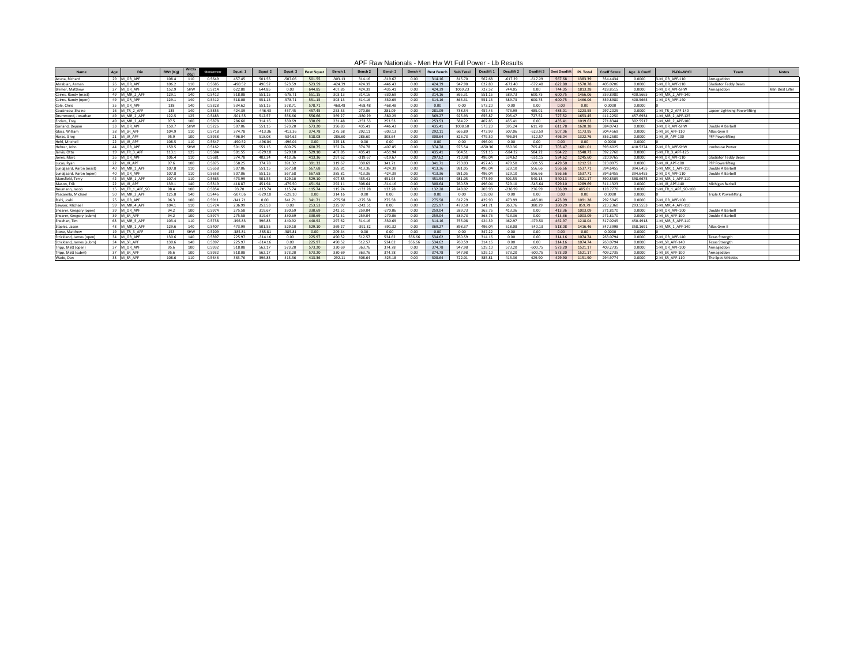| <b>Name</b>             | Age<br>Div          | BWt (Kg) |            | Glossbrenner | <b>Squat</b> | Squat 2   | Squat 3   | <b>Best Squat</b> | <b>Bench</b> | Bench 2   | Bench 3   | Bench 4 | <b>Best Bench</b> | <b>Sub Total</b> | Deadlift  | Deadlift 2 | Deadlift 3 |        | <b>PL Total</b> | <b>Coeff Score</b> | Age & Coeff | <b>PI-Div-WtCl</b>  | Team                          | <b>Notes</b>    |
|-------------------------|---------------------|----------|------------|--------------|--------------|-----------|-----------|-------------------|--------------|-----------|-----------|---------|-------------------|------------------|-----------|------------|------------|--------|-----------------|--------------------|-------------|---------------------|-------------------------------|-----------------|
| Acuna, Richard          | 29 M OR APF         | 108.4    |            | 0.5649       | 457.45       | 501.55    | $-507.06$ | 501.55            | $-303.13$    | 314.16    | $-319.67$ | 0.00    | 314.16            | 815.70           | 567.68    | $-617.29$  | $-617.29$  | 567.68 | 1383.39         | 354.4434           | 0.0000      | 3-M OR APF-110      | Armageddon                    |                 |
| Ahrabian, Armar         | 26 M OR APF         | 106.2    |            | 0.5685       | $-490.52$    | 490.52    | 523.59    | 523.59            | $-424.39$    | 424.39    | $-446.43$ | 0.00    | 424.39            | 947.98           | 622.80    | $-672.40$  | $-672.40$  | 622.80 | 1570.78         | 405.0206           | 0.0000      | 1-M OR APF-110      | Gladiator Teddy Bears         |                 |
| Brimer, Matthew         | 27 M OR APF         | 152.9    | <b>SHW</b> | 0.5214       | 622.80       | 644.85    | 0.00      | 644.85            | 407.85       | 424.39    | $-435.41$ | 0.00    | 424.39            | 1069.23          | 727.52    | 744.05     | 0.00       | 744.05 | 1813.28         | 428.8515           | 0.0000      | 1-M OR APF-SHW      | Armageddon                    | Men Best Lifter |
| Cairns, Randy (mast)    | 49 M MR 2 APP       | 129.1    | 140        | 0.5412       | 518.08       | 551.15    | $-578.72$ | 551.15            | 303.13       | 314.16    | $-330.69$ | 0.00    | 314.16            | 865.31           | 551.15    | 589.73     | 600.75     | 600.75 | 1466.06         | 359.8980           | 400.5665    | 1-M MR 2 APF-140    |                               |                 |
| Cairns, Randy (open)    | 49 M OR APF         | 129.1    | 140        | 0.5412       | 518.08       | 551.15    | $-578.72$ | 551.15            | 303.13       | 314.16    | $-330.69$ | 0.00    | 314.16            | 865.31           | 551.15    | 589.73     | 600.75     | 600.75 | 1466.06         | 359.8980           | 400.5665    | 1-M OR APF-140      |                               |                 |
| Cole, Chris             | 35 M OR APF         | 138      | 140        | 0.5328       | 534.62       | 551.15    | 578.71    | 578.71            | $-468.48$    | $-468.48$ | $-468.48$ | 0.00    | 0.00              | 0.00             | 573.20    | 0.00       | 0.00       | 0.00   | 0.00            | 0.0000             | 0.0000      |                     |                               |                 |
| Cousineau, Shaine       | 16 M TR 2 API       | -135     | 140        | 0.5355       | 424.39       | $-446.43$ | 457.45    | 457.45            | 253.53       | 270.06    | 281.09    | 0.00    | 281.09            | 738.54           | 457.45    | 473.99     | 485.01     | 485.01 | 1223.55         | 297.2025           | 0.0000      | 1-M TR 2 APF-140    | Lapeer Lightning Powerlifting |                 |
| Drummond, Jonathan      | 49  M MR 2 APF      | 122.5    | 125        | 0.5483       | $-501.55$    | 512.57    | 556.66    | 556.66            | 369.27       | $-380.29$ | $-380.29$ | 0.00    | 369.27            | 925.93           | 655.87    | 705.47     | 727.52     | 727.52 | 1653.45         | 411.2250           | 457.6934    | 1-M MR 2 APF-125    |                               |                 |
| Enders, Troy            | 49 M MR 2 APP       | 97.5     | 100        | 0.5878       | 286.60       | 314.16    | 330.69    | 330.69            | 231.48       | $-253.53$ | 253.53    | 0.00    | 253.53            | 584.22           | 407.85    | 435.41     | 0.00       | 435.41 | 1019.63         | 271.8344           | 302.5517    | 1-M MR 2 APF-100    |                               |                 |
| Garland, Dejuan         | M OR APF            | 150.7    | <b>SHW</b> | 0.5226       | 507.06       | 551.15    | 573.20    | 573.20            | 396.83       | 435.41    | $-446.43$ | 0.00    | 435.41            | 1008.60          | 573.20    | 595.24     | 611.78     | 611.78 | 1620.38         | 384.0743           | 0.0000      | 3-M OR APF-SHW      | Double A Barbel               |                 |
| Glass, William          | 38 M SR APP         | 104.9    |            | 0.5718       | 374.78       | $-413.36$ | $-413.36$ | 374.78            | 275.58       | 292.11    | $-303.13$ | 0.00    | 292.11            | 666.89           | 473.99    | 507.06     | $-523.59$  | 507.06 | 1173.95         | 304.4569           | 0.0000      | 1-M SR APF-110      | Atlas Gym II                  |                 |
| Haras, Greg             | 21 $\mid$ M JR APF  | 95.9     | 100        | 0.5938       | 496.04       | 518.08    | $-534.62$ | 518.08            | $-286.60$    | 286.60    | 308.64    | 0.00    | 308.64            | 826.73           | 479.50    | 496.04     | $-512.57$  | 496.04 | 1322.76         | 356.2500           | 0.0000      | 1-M JR APF-100      | <b>IPFP Powerliftin</b>       |                 |
| Hehl, Mitchell          | 22 M JR AP          | 108.5    |            | 0.5647       | $-490.52$    | $-496.04$ | $-496.04$ | 0.00              | 325.18       | 0.00      | 0.00      | 0.00    | 0.00              | 0.00             | 496.04    | 0.00       | 0.00       | 0.00   | 0.00            | 0.0000             | 0.0000      |                     |                               |                 |
| Hehrer, John            | 44 M OR APF         | 159.5    | <b>SHW</b> | 0.5162       | 501.55       | 551.15    | 600.75    | 600.75            | 352.74       | 374.78    | $-407.85$ | 0.00    | 374.78            | 975.54           | $-650.36$ | 650.36     | 705.47     | 705.47 | 1681.01         | 393.6025           | 410.5274    | .- M OR APF-SHW     | <b>Ironhouse Powe</b>         |                 |
| Jarvis, Otto            | 19   M TR 3 API     | 113.1    |            | 0.5584       | 501.55       | $-529.10$ | 529.10    | 529.10            | 407.85       | 435.41    | $-451.94$ | 0.00    | 435.41            | 964.51           | 551.15    | $-584.22$  | 584.22     | 584.22 | 1548.73         | 392.2760           | 0.0000      | 1-M TR 3 APF-125    |                               |                 |
| Jones, Marc             | 26 M OR AP          | 106.4    | 110        | 0.5681       | 374.78       | 402.34    | 413.36    | 413.36            | 297.62       | $-319.67$ | $-319.67$ | 0.00    | 297.62            | 710.98           | 496.04    | 534.62     | $-551.15$  | 534.62 | 1245.60         | 320.9765           | 0.0000      | 4-M OR APF-110      | <b>Gladiator Teddy Bears</b>  |                 |
| Lucas, Ryan             | 22 $\mid$ M JR APF  |          | 10C        | 0.5875       | 358.25       | 374.78    | 391.32    | 391.32            | 319.67       | 330.69    | 341.71    | 0.00    | 341.71            | 733.03           | 457.45    | 479.50     | $-501.55$  | 479.50 | 1212.53         | 323.0975           | 0.0000      | 2-M JR APF-100      | <b>PFP Powerlifting</b>       |                 |
| Lundgaard, Aaron (mast) | 40   M MR 1 AP      | 107.8    |            | 0.5658       | 507.06       | 551.15    | 567.68    | 567.68            | 385.81       | 413.36    | $-424.39$ | 0.00    | 413.36            | 981.05           | 496.04    | 529.10     | 556.66     | 556.66 | 1537.71         | 394.6455           | 394.6455    | 1-M MR 1 APF-110    | Double A Barbel               |                 |
| Lundgaard, Aaron (open  | 40 M OR APF         | 107.8    |            | 0.5658       | 507.06       | 551.15    | 567.68    | 567.68            | 385.81       | 413.36    | $-424.39$ | 0.00    | 413.36            | 981.05           | 496.04    | 529.10     | 556.66     | 556.66 | 1537.71         | 394.6455           | 394.6455    | 2-M OR APF-110      | Double A Barbel               |                 |
| Mansfield, Terry        | 42  M MR 1 API      | 107.4    |            | 0.5665       | 473.99       | 501.55    | 529.10    | 529.10            | 407.85       | 435.41    | 451.94    | 0.00    | 451.94            | 981.05           | 473.99    | 501.55     | 540.13     | 540.13 | 1521.17         | 390.8505           | 398.6675    | 2-M MR 1 APF-110    |                               |                 |
| Mason, Erik             | 22 $\mid$ M JR APF  | 139.1    | 140        | 0.5319       | 418.87       | 451.94    | $-479.50$ | 451.94            | 292.11       | 308.64    | $-314.16$ | 0.00    | 308.64            | 760.59           | 496.04    | 529.10     | $-545.64$  | 529.10 | 1289.69         | 311.1323           | 0.0000      | 1-M JR APF-140      | Michigan Barbell              |                 |
| Neumann, Jacob          | 15 M TR 1 APF SO    | 98.4     | 100        | 0.5854       | 93.70        | $-115.74$ | 115.74    | 115.74            | 115.74       | $-132.28$ | 132.28    | 0.00    | 132.28            | 248.02           | 203.93    | $-236.99$  | 236.99     | 236.99 | 485.01          | 128.7770           | 0.0000      | 1-M TR 1 APF SO-100 |                               |                 |
| Pascarella, Michael     | 50   M MR 3 APF     | 125.8    | 140        | 0.5446       | $-507.06$    | $-529.10$ | $-529.10$ | 0.00              | 314.16       | 0.00      | 0.00      | 0.00    | 0.00              | 0.00             | 518.08    | 0.00       | 0.00       | 0.00   | 0.00            | 0.0000             | 0.0000      |                     | Triple X Powerlifting         |                 |
| Rishi, Joshi            | 25 M OR APF         | −96.     | 100        | 0.5911       | $-341.71$    | 0.00      | 341.71    | 341.71            | $-275.58$    | $-275.58$ | 275.58    | 0.00    | 275.58            | 617.29           | 429.90    | 473.99     | $-485.01$  | 473.99 | 1091.28         | 292.5945           | 0.0000      | 2-M OR APF-100      |                               |                 |
| Sawyer, Michael         | 59 M MR 4 APF       | 104.1    |            | 0.5724       | 236.99       | 253.53    | 0.00      | 253.53            | 225.97       | $-242.51$ | 0.00      | 0.00    | 225.97            | 479.50           | 341.71    | 363.76     | 380.29     | 380.29 | 859.79          | 223.2360           | 293.5553    | 1-M MR 4 APF-110    |                               |                 |
| Shearer, Gregory (open  | 39 M OR APF         | 94.2     | 100        | 0.5974       | 275.58       | 319.67    | 330.69    | 330.69            | 242.51       | 259.04    | $-270.06$ | 0.00    | 259.04            | 589.73           | 363.76    | 413.36     | 0.00       | 413.36 | 1003.09         | 271.8170           | 0.0000      | 3-M OR APF-100      | Double A Barbel               |                 |
| Shearer, Gregory (subm  | 39 M SR API         | 94.2     | 100        | 0.5974       | 275.58       | 319.67    | 330.69    | 330.69            | 242.51       | 259.04    | $-270.06$ | 0.00    | 259.04            | 589.73           | 363.76    | 413.36     | 0.00       | 413.36 | 1003.09         | 271.8170           | 0.0000      | 2-M SR APF-100      | Double A Barbel               |                 |
| Sheehan, Tim            | 63  M MR 5 API      | 103.4    |            | 0.5738       | $-396.83$    | 396.83    | 440.92    | 440.92            | 297.62       | 314.16    | $-330.69$ | 0.00    | 314.16            | 755.08           | 424.39    | 462.97     | $-479.50$  | 462.97 | 1218.04         | 317.0245           | 450.4918    | 1-M MR 5 APF-110    |                               |                 |
| Staples, Jason          | 43 IM MR 1 AP       | 129.6    | 140        | 0.5407       | 473.99       | 501.55    | 529.10    | 529.10            | 369.27       | $-391.32$ | $-391.32$ | 0.00    | 369.27            | 898.37           | 496.04    | 518.08     | $-540.13$  | 518.08 | 1416.46         | 347.3998           | 358.1691    | 1-M MR 1 APF-140    | Atlas Gym II                  |                 |
| <b>Stone. Matthew</b>   | 19 M TR 3 APF       | 153      | <b>SHW</b> | 0.5209       | -385.81      | -385.81   | -385.81   | 0.00              | 209.44       | റ ററ      | n nn      | n nn    | 0.00              | n nn             | 347.22    | റ ററ       | 0.00       | 0.00   | 0.00            | 0.0000             | 0.0000      |                     |                               |                 |
| Strickland, James (open | 34 M OR APF         | 130.6    | 140        | 0.5397       | 225.97       | $-314.16$ | 0.00      | 225.97            | 490.52       | 512.57    | 534.62    | 556.66  | 534.62            | 760.59           | 314.16    | 0.00       | 0.00       | 314.16 | 1074.74         | 263.0794           | 0.0000      | 2-M OR APF-140      | Texas Strength                |                 |
| Strickland, James (subm | 34 M SR APF<br>____ | 130.6    | 140        | 0.5397       | 225.97       | $-314.16$ | 0.00      | 225.97            | 490.52       | 512.57    | 534.62    | 556.66  | 534.62            | 760.59           | 314.16    | $0.00\,$   | 0.00       | 314.16 | 1074.74         | 263.0794           | 0.0000      | 1-M SR APF-140      | <b>Texas Strength</b>         |                 |
| Tripp, Matt (open)      | 37 M_OR_APF         | 95.6     | 100        | 0.5932       | 518.08       | 562.17    | 573.20    | 573.20            | 330.69       | 363.76    | 374.78    | 0.00    | 374.78            | 947.98           | 529.10    | 573.20     | $-600.75$  | 573.20 | 1521.17         | 409.2735           | 0.0000      | 1-M OR APF-100      | Armageddon                    |                 |
| Tripp, Matt (subm)      | 37 M SR APF         | 95.6     | 100        | 0.5932       | 518.08       | 562.17    | 573.20    | 573.20            | 330.69       | 363.76    | 374.78    | 0.00    | 374.78            | 947.98           | 529.10    | 573.20     | $-600.75$  | 573.20 | 1521.17         | 409.2735           | 0.0000      | 1-M SR APF-100      | Armageddon                    |                 |
| Wade, Dan               | <u>33 M_SR_APF</u>  | 108.6    | 110        | 0.5646       | 363.76       | 396.83    | 413.36    | 413.36            | $-292.11$    | 308.64    | $-325.18$ | 0.00    | 308.64            | 722.01           | 385.81    | 413.36     | 429.90     | 429.90 | 1151.90         | 294.9774           | 0.0000      | 2-M_SR_APF-110      | The Spot Athletics            |                 |

#### APF Raw Nationals - Men Hw Wt Full Power - Lb Results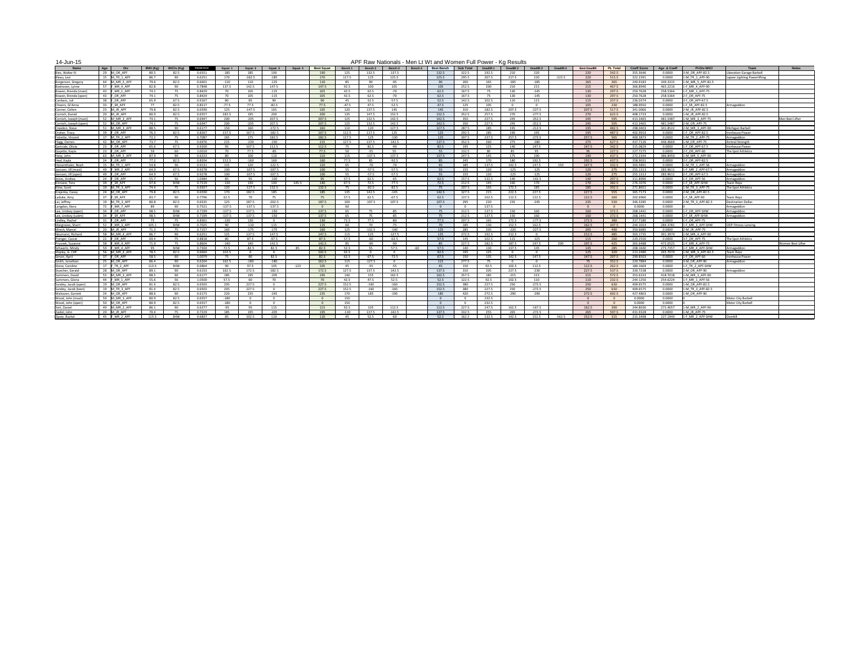14-Jun-15

| טו ווטט דו                                |                                     |              |             |                  |               |              |                  |         |                   |              |          |                   |         |                   | THE INCOVERIGIOUS INCIENT CHICAGO VIOLICITY ON LOW CH |               | 11911000110 |                |            |                      |                 |                      |                  |                                      |                              |                   |
|-------------------------------------------|-------------------------------------|--------------|-------------|------------------|---------------|--------------|------------------|---------|-------------------|--------------|----------|-------------------|---------|-------------------|-------------------------------------------------------|---------------|-------------|----------------|------------|----------------------|-----------------|----------------------|------------------|--------------------------------------|------------------------------|-------------------|
| <b>Name</b>                               | $\overline{A}$ ge                   | BWt (Kg)     | WtCls (Ka)  | Glossbrenner     | Squat 1       | Squat 2      | Squat 3          | Squat 4 | <b>Best Squat</b> | Bench 1      | Bench 2  | Bench 3           | Bench 4 | <b>Best Bench</b> | <b>Sub Total</b>                                      | Deadlift 1    | Deadlift 2  | Deadlift 3     | Deadlift 4 | <b>Best Deadlift</b> | <b>PL Total</b> | <b>Coeff Score</b>   | Age & Coeff      | <b>PI-Div-WtCl</b>                   | Team                         | <b>Notes</b>      |
| Bies, Walter III                          | 29 M OR APF                         | 80.5         |             | 0.6551           |               |              | 190              |         | 190               |              | 132.5    | $-137.5$          |         | 132.5             | 322.5                                                 | 192.5         |             | 220            |            | 220                  | 542.5           | 355.3646             | 0.0000           | 3-M OR APF-82.5                      | iberation Garage Barbell     |                   |
| Bleau, Levi                               | M TR 1 APF                          | 86.7         |             | 0.6251           | 170           | $-182.5$     | -185             |         | 170               | 117.5        | 125      | 125.5             |         | 125.5             | 295.5                                                 | 207.5         | 217.5       | 220            | -222.5     | 220                  | 515.5           | 322.2391             | 0.0000           | 1-M TR 1 APF-90                      | apeer Lighting Powerlifting. |                   |
| Borgerson, Gregory                        | 64 M MR 5 APF                       | 79.6         | 82.5        | 0.6601           | -110          | 110          | $-125$           |         | 110               | - 85         | 90       | -95               |         |                   | 200                                                   | 165           | $-185$      | $-185$         |            | 165                  | 365             | 240.9183             | 349.3315         | 1-M MR 5 APF-82.5                    |                              |                   |
| Boshoven, Lynne                           | 57 IF MR 4 APF                      | 82.8         |             | 0.7848           | 137.5         | 142.5        | 147.5            |         | 147.5             | 92.5         | 100      | 105               |         | 105               | 252.5                                                 | 200           | 210         | 215            |            | 215                  | 467.5           | 366.8940             | 465.2216         | $1-F$ MR 4 APF-90                    |                              |                   |
| Bowen, Brenda (mas                        | 43 FMR 1 APF<br>_ <del>_</del> ____ | 74.1         |             | 0.8429           |               | 105          | -115             |         | 105               | 42.5         | 62.5     | -70               |         | 62.5              | 167.5                                                 |               | 130         | -145           |            | 130                  | 297.5           | 250.7628             | 258.5364         | $1-F$ MR 1 APF-75                    |                              |                   |
| Bowen, Brenda (ope                        | 43 F OR APF                         | 74.1         |             | 0.8429           |               | 105          | -115             |         | 105               | 42.5         | 62.5     | -70               |         | 62.5              | 167.5                                                 |               | 130         | -145           |            | 130                  | 297.5           | 250.7628             | 258.5364         | 2-F OR APF-75                        |                              |                   |
| Cardasis, Juli                            | 38 F OR APF                         | 65.9         | 67.5        | 0.9167           | -80.          | 85           | 90               |         | 90                | -45          | 52.5     | $-57.5$           |         | 52.5              | 142.5                                                 | 102.5         | 110         | 115            |            | 115                  | 257.5           | 236.0374             | 0.0000           | 3-F OR APF-67.5                      |                              |                   |
| Cheairs, Gi'Anna                          | 33 FSR APF                          | 77           | 82.5        | 0.8217           | -77.5         | 77.5         | -82.5            |         | 77.5              | -47.5        | 47.5     | $-52.5$           |         | 47.5              | 125                                                   | 105           |             |                |            | 105                  | 230             | 188.9910             | 0.0000           | 1-F SR APF-82.5                      | Armageddon                   |                   |
| Conner, Colten                            | 23 M JR APF<br>____                 | 79.8         | 82.5        | 0.6590           | 125           | $-147.5$     | 165              |         | 165               | 120          | 137.5    | 145               |         | 145               | 310                                                   | 182.5         | 207.5       | $-227.5$       |            | 207.5                | 517.5           | 341.0066             | 0.0000           | 2-M JR APF-82.5                      |                              |                   |
| Cornish, Daniel                           | 20 M JR APF                         | 80.9         |             | 0.6557           | 182.5         | 195          | 200              |         | 200               | 135          | 147.5    | 152.5             |         | 152.5             | 352.5                                                 | 257.5         | 270         | $-277.5$       |            | 270                  | 622.5           | 408.1733             | 0.0000           | $11-M$ JR APF-82.5                   |                              |                   |
| Cornish, Joseph (mas                      | 52 M MR 3 APF                       | 74.1         |             | 0.6947           | 200           | $-205$       | 207.5            |         | 207.5             | 125          | 132.5    | 142.5             |         | 142.5             | 350                                                   | 227.5         | 245         | $-252.5$       |            | 245                  | 595             | 413.3465             | 481.5487         | 1-M MR 3 APF-75                      |                              | Men Best Lifter   |
| Cornish, Joseph (oper                     | 52 M OR APF                         | 74.1         |             | 0.6947           | 200           | -205         | 207.5            |         | 207.5             | 125          | 132.5    | 142.5             |         | 142.5             | 350                                                   | 227.5         | 245         | $-252.5$       |            | 245                  | 595             | 413.3465             | 481.5487         | 2-M OR APF-75                        |                              |                   |
| Creedon, Steve                            | M MR 3 APF                          | 88.5         |             | 0.6177           | 150           | 160          | $-172.5$         |         | 160               | 110          | 120      | 127.5             |         | 127.5             | 287.5                                                 | 185           | 195         | $-212.5$       |            | 195                  | 482.5           | 298.0403             | 341.8522         | $2-M MR 3 APF-90$                    | Michigan Barbell             |                   |
| Draher, Tracy                             | 39 F OR APF                         | 76.3         | 82.5        | 0.8267           | 157.5         | 167.5        | $-182.5$         |         | 167.5             | 112.5        | 117.5    | 125               |         | 125               | 292.5                                                 | 185           | 190         | 195            |            | 195                  | 487.5           | 402.9919             | 0.0000           | $1-F$ OR APF-82.5                    | ronhouse Power               |                   |
| Falzetta, Vincent                         | 17  M TR 2 APF                      | 72.2         |             | 0.7087           | 165           | 175          | 182.5            |         | 182.5             | 117.5        | 125      | -130              |         |                   | 307.5                                                 | 237.5         | 257.5       | $-272.5$       |            | 257.5                | 565             | 400.3873             | 0.0000           | 1-M TR 2 APF-75                      | Armageddon                   |                   |
| Flagg, Darren                             | 42 M OR APF                         | 73.7         |             | 0.6976           | 215           | -230         | $-230$           |         | 215               | 127.5        | 137.5    | $-142.5$          |         | 137.5             | 352.5                                                 | 260           | 275         | $-280$         |            | 275                  | 627.5           | 437.7126             | 446.4669         | 1-M OR APF-75                        | Animal Strength              |                   |
| Gartside, Olivia                          | 23 F OR APF<br>_____                | 65.6         | 67.5        | 0.9200           |               | 107.5        | 112.5            |         | 112.5             | -75          | 82.5     | -90               |         | 82.5              | 195                                                   | 125           | 140         | 147.5          |            | 147.5                | 342.5           | 315.0829             | 0.0000           | $1-F$ OR APF-67.5                    | Ironhouse Power              |                   |
| Goyette, Kayla                            | IF OR APF                           | - 59         |             | 1.0010           |               | 77.5         | -85              |         | 77.5              | -50          | -55 -    | -55               |         |                   | 132.5                                                 |               |             | -95.           |            | - 95                 | 227.5           | 227.7275             | 0.0000           | $2-F$ OR APF-60                      | The Spot Athletics           |                   |
| Harp, John                                | 63 M MR 5 APF                       | 87.9         |             | 0.6223           | <b>80</b>     | 100          | 110              |         | 110               | 115          | $-137.5$ | 137.5             |         | 137.5             | 247.5                                                 | 145           | 175         | 190            |            | 190                  | 437.5           | 272.2344             | 386.8450         | 1-M MR 5 APF-90                      |                              |                   |
| Heal, Kayla                               | 24 FOR APF                          | 77.2         | 82.5        | 0.8204           | 152.5         | $-160$       | 160              |         | 160               | 77.5         | 85.      | $-92.5$           |         |                   | 245                                                   | 170           | 180         | 192.5          |            | 192.5                | 437.5           | 358.9031             | 0.0000           | $2-F$ OR APF-82.5                    |                              |                   |
| Hessenthaler, Noah                        | IM TR 1 APF                         | 54.8         |             | 0.9131           | 115           | 120          | $-122.5$         |         | 120               |              | -70      | -70               |         |                   | 185                                                   | 137.5         | 142.5       | 147.5          | 150        | 147.5                | 332.5           | 303.5891             | 0.0000           | $1-M TR 1 APF-56$                    | Armageddon                   |                   |
| Janssen, Jill (mast                       | 49 FMR 2 APF                        | 64.9         |             | 0.9278           | 100           | $-107.5$     | $-107.5$         |         | 100               | -55          | -57.5    | $-57.5$           |         |                   | 155                                                   | 120           | -125        | $-125$         |            | 120                  | 275             | 255.1313             | 283.9611         | 1-F_MR_2_APF-67.5                    | Armageddon                   |                   |
| Janssen, Jill (open)                      | 49 <b>FOR APF</b>                   | 64.9         | 67.5        | 0.9278           | 100           | $-107.5$     | $-107.5$         |         | 100               |              | -57.5    | $-57.5$           |         |                   | 155                                                   | 120           | $-125$      | $-125$         |            | 120                  | 275             | 255.1313             | 283.9611         | 2-F OR APF-67.5                      | Armageddon                   |                   |
| Jones, Andrea                             | 24 FOR APF                          | 55.7         |             | 1.0484           | 85.           |              | $-100$           |         | 95                | 57.5         | 62.5     | -65               |         | 62.5              | 157.5                                                 | 132.5         | 140         | $-142.5$       |            | 140                  | 297.5           | 311.8990             | 0.0000           | $1-F$ OR APF-56                      | Armageddon                   |                   |
| Kinnane, Tera                             | 39 IF SR APF                        | 97.8         | SHW         | 0.7219           | 130           | 130 -        | 140              | 145.5   | 140               | 67.5         | 72.5     | $-77.5$           |         | 72.5              | 212.5                                                 | 145           | 160         | 170            |            | 170                  | 382.5           | 276.1076             | 0.0000           | 11-F SR APF-SHW                      | Team Repz                    |                   |
| Kline, Scott                              | 19 M TR 3 APF                       | 74.4         |             | 0.6927           | 120           | $-127.5$     | 132.5            |         | 132.5             |              | -82.5    | -82.5             |         |                   | 207.5                                                 | 165           | 172.5       | 185            |            | 185                  | 392.5           | 271.8651             | 0.0000           | 1-M TR 3 APF-75                      | The Spot Athletics           |                   |
| Krajenka, Casey                           | 24 M OR APF                         | 79.8         | 82.5        | 0.6590           | 170           | 182.5        | 185              |         | 185               | 135          | 142.5    | -145              |         | 142.5             | 327.5                                                 | 215           | 222.5       | 227.5          |            | 227.5                | 555             | 365.7173             | 0.0000           | 2-M OR APF-82.5                      |                              |                   |
| Laduke, Amy                               | 37 F SR APF                         | 83.7         |             | 0.7796           | 62.5          | 70           | 75               |         | 75                |              | 62.5     | -67.5             |         | 62.5              | 137.5                                                 | 102.5         | 112.5       | 122.5          |            | 122.5                | 260             | 202.6960             | 0.0000           | 1-F SR APF-90                        | Team Repz                    |                   |
| Lai, Jeffrey                              | 19 M TR 3 APF                       | 80.8         |             | 0.6535           | 125           | 187.5        | $-202.5$         |         | 187.5             | 100          | -107.5   | 107.5             |         | 107.5             | 295                                                   | <b>220</b>    | 235         | $-245$         |            | 235                  | 530             | 346.3285             | 0.0000           | 2-M TR 3 APF-82.5                    | Destination Dallas           |                   |
| Langdon, Nora                             | 72 IF MR 7 APF<br>_____             | -89          |             | 0.7521           | $-137.5$      | $-137.5$     | -137.5           |         |                   |              |          |                   |         |                   |                                                       | 137.5         |             |                |            |                      |                 | 0.0000               | 0.0000           |                                      | Armageddon                   |                   |
| Lee, Lindsey (open)                       | $34$ FOR APF                        | 98.5         | SHW         | 0.7199           | -137.5        | 137.5        | $-150$           |         | 137.5             | -65          | 75       | -85               |         |                   | 212.5                                                 | 137.5         | 150         | 160            |            | 160                  | 372.5           | 268.1441             | 0.0000           | 1-F OR APF-SHW                       | Armageddon                   |                   |
| Lee, Lindsey (subm)                       | 34 FSR APF                          | 98.5         | SHW         | 0.7199           | -137.5        | 137.5        | -150             |         | 137.5             | -65          | 75       | -85               |         |                   | 212.5                                                 | 137.5         | 150         | 160            |            | 160                  | 372.5           | 268.1441             | 0.0000           | 2-F SR APF-SHW                       | Armageddon                   |                   |
| Lindley, Rachel                           | 31 F OR APF                         | 75           | 75          | 0.8361           | -130          | 130          | $\overline{0}$   |         | 130               | 72.5         | 77.5     | -80               |         | 77.5              | 207.5                                                 | 165           | 172.5       | -177.5         |            | 172.5                | 380             | 317.7180             | 0.0000           | $1-F$ OR APF-75                      |                              |                   |
| Margraves, Sharri                         | 52 FMR 3 APF<br>__________          | 105.1        | SHW         | 0.7025           | ിറ            | $-110$       | 115              |         | 115               | - 60         | 70       | $-75$             |         |                   | 185                                                   | 130           | 152.5       | 162.5          |            | 162.5                | 347.5           | 244.1014             | 284.3781         | $1-F$ MR 3 APF-SHW                   | <b>ODP Fitness-Lansing</b>   |                   |
| Mrech, Marcel                             | 20 M JR APF                         | 71.3         |             | 0.7157           | 160           | $-175$       | -175             |         | 160               | 125          | $-132.5$ | -140              |         | 125               | 285                                                   | 205           | -220        | $-227.5$       |            | 205                  | 490             | 350.6685             | 0.0000           | $12-M$ JR APF-75                     |                              |                   |
| Neumann, Richard                          | 58 M_MR_4_APF                       | 86.7         | ിറ          | 0.6251           | 125           | 137.5        | 147.5            |         | 147.5             | 115          | 125      | $-127.5$          |         | 125               | 272.5                                                 | 192.5         | 212.5       | $\overline{0}$ |            | 212.5                | 485             | 303.1735             | 391.3970         | 1-M_MR_4_APF-90                      |                              |                   |
| Prenger, Cassie                           | 22 F OR APF<br>58 FMR 4 APF         | 69.4         |             | 0.8818           | -80           | 87.5         | $-97.5$          |         | 87.5              | 57.5         | -60      | $-62.5$           |         | 57.5              | 145                                                   | 102.5         | 115         | $-125$         |            | 115                  | 260             | 229.2550             | 0.0000           | $3-F$ OR APF-75<br>$1-F$ MR 4 APF-75 | The Spot Athletics           | Women Best Lifter |
| Prusnek, Suzanne                          | 59 IF MR 4 APF                      | 71.9         |             | 0.8604           | -140          | 140          | 142.5            |         | 142.5             | - 85         | -90      | -90               |         |                   | 227.5                                                 | 182.5         | 187.5       | 197.5          | - 200      | 197.5                | 425             | 365.6488             | 472.0525         |                                      |                              |                   |
| Schwartz, Mindy                           | ______                              | - 95         | SHW         | 0.7304           | 72.5          | -82.5        | 82.5<br>- റ      | -85     | 82.5              | 52.5         | $\Omega$ | 57.5<br>_റ        | -60     | 57.5              | 140                                                   | 130           | 137.5       | 145            |            | 145                  | 285             | 208.1640             | 273.7357         | $1-F$ MR 4 APF-SHW<br>______         | Armageddon                   |                   |
| Shipley, G. Cliff                         | 56 M_MR_4_APF<br>37 FOR APF         | 78.5         | 82.5<br>-60 | 0.6664<br>1.0079 | 102.5         | 80           |                  |         | 102.5             | 92.5         | 67.5     |                   |         | 92.5              | 195                                                   | 125           |             | 147.5          |            | 125                  | 320<br>297.5    | 213.2480             | 265.7070         | 1-M MR 4 APF-82.5<br>$1-F$ OR APF-60 | Team Repz                    |                   |
| Simon, April<br>Smith, Jonathon           | 25 M OR APF                         | 58.5<br>86.4 |             | 0.6264           | 75<br>162.5   | $-180$       | 82.5<br>-180     |         | 82.5<br>162.5     | 62.5         | $-127.5$ | $-72.5$           |         | 67.5<br>115       | 150<br>277.5                                          | 135           | 142.5       |                |            | 147.5<br>75          | 352.5           | 299.8503<br>220.7884 | 0.0000<br>0.0000 | $3-M$ OR APF-90                      | Ironhouse Power              |                   |
| Stone, Caroline                           | 17 F TR 2 APF                       | 113.5        | <b>SHW</b>  | 0.6864           | ിറ            | 97.5         | 105              | -123    | 105               | 115<br>- 45  | -55 -    | -55               |         |                   | 150                                                   | 92.5          | 102.5       | 112.5          |            | 112.5                | 262.5           | 180.1669             | 0.0000           | $1-F$ TR 2 APF-SHW                   | Armageddon                   |                   |
| Stuecher, Gerald                          | ________                            |              | ാറ          |                  |               |              |                  |         |                   |              | 137.5    |                   |         | 137.5             |                                                       |               | 227.5       |                |            | 227.5                | 537.5           |                      | 0.0000           | _______<br>$2-M$ OR APF-90           |                              |                   |
| Summers, David                            | 28 M_OR_APF<br>53 M MR 3 APF        | 89.1<br>88.5 | <b>AN</b>   | 0.6153<br>0.6177 | 162.5<br>185  | 172.5<br>195 | -182.5<br>$-205$ |         | 172.5<br>195      | 127.5<br>140 | 155      | $-142.5$<br>162.5 |         | 162.5             | 310<br>357.5                                          | 205<br>185    | $-215$      | -230<br>215    |            | 215                  | 572.5           | 330.7238<br>353.6333 | 418.7018         | $1-M$ MR 3 APF-90                    | Armageddon                   |                   |
| Summers, Gloria                           | 44 FMR 1 APF                        | 55.6         | 56.         | 1.0500           | 57.5          | 60           | 70               |         | 70                |              | 47.5     | 52.5              |         | 52.5              | 122.5                                                 |               | 102.5       | 110            |            |                      | 232.5           | 244.1250             | 254.6224         | 1-F MR 1 APF-56                      |                              |                   |
|                                           | 19 M OR APF                         | 81.4         | 82.5        | 0.6503           |               | 227.5        |                  |         | 227.5             | 42.5         | -160     | $-160$            |         | 152.5             | - 380                                                 | 92.5<br>227.5 | 250         | $-272.5$       |            | 110                  |                 |                      | 0.0000           | 1-M OR APF-82.5                      |                              |                   |
| Sundey, Jacob (open)                      | 19 M TR 3 APF                       | 81.4         |             |                  | 205           | 227.5        | $\bigcap$        |         | 227.5             | 152.5        | $-160$   |                   |         | 152.5             |                                                       | 227.5         | 250         | $-272.5$       |            | 250<br>250           | 630             | 409.6575             |                  | 1-M TR 3 APF-82.5                    |                              |                   |
| Sundey, Jacob (teen)<br>Walraven, Garrett | 24 M OR APF                         | 88.6         | 82.5<br>ിറ  | 0.6503<br>0.6173 | 205           | 235          | -245             |         | 235               | 152.5        |          | -160<br>$-190$    |         | 185               | 380<br>420                                            | 272.5         |             |                |            | 272.5                | 630<br>692.5    | 409.6575<br>427.4803 | 0.0000<br>0.0000 | $1-M$ OR APF-90                      |                              |                   |
| Wood, John (mast)                         | 50 M MR 3 APF                       | 80.9         | 82.5        | 0.6557           | 220<br>$-180$ |              |                  |         | $\overline{0}$    | 170<br>150   | 185      |                   |         |                   |                                                       | 232.5         | -290        | -290           |            |                      | - റ             | 0.0000               | 0.0000           |                                      | <b>Motor City Barbell</b>    |                   |
| Wood, John (open)                         | _ <del>_</del> ____<br>50 M OR APF  | 80.9         | 82.5        | 0.6557           | -180          |              |                  |         |                   | 150          |          |                   |         |                   |                                                       | 232.5         |             |                |            |                      |                 | 0.0000               | 0.0000           |                                      | Motor City Barbell           |                   |
| Yert, Daniel                              | ____<br>49   M_MR_2_APF             | 86.1         | ിറ          | 0.6277           | -95.          | 95           | 115              |         | 115               | 92.5         | 105      | 112.5             |         | 112.5             | 227.5                                                 | 147.5         | 162.5       | -167.5         |            | 162.5                | 390             | 244.8030             | 272.4657         | 1-M_MR_2_APF-90                      |                              |                   |
| Zaidel, John                              | 20 M JR APF                         | 70.4         |             | 0.7229           |               | 195          | $-205$           |         | 195               |              | 137.5    | $-142.5$          |         | 137.5             | 332.5                                                 | 255           | 265         | $-272.5$       |            | 265                  | 597.5           | 431.9328             | 0.0000           | 1-M_JR_APF-75                        |                              |                   |
|                                           | 45 F MR 2 APF                       | 115.5        | SHW         | 0.6837           | 185<br>-85    | 102.5        | 110              |         | 110               | -130<br>-45  | 52.5     | -60               |         | 52.5              | 162.5                                                 | 132.5         | 142.5       | 152.5          | $-162.5$   | 152.5                | 315             | 215.3498             | 227.1940         | $1-F$ MR 2 APF-SHW                   | Overkill                     |                   |
| Zipsie, Rachel                            |                                     |              |             |                  |               |              |                  |         |                   |              |          |                   |         |                   |                                                       |               |             |                |            |                      |                 |                      |                  |                                      |                              |                   |

| APF Raw Nationals - Men Lt Wt and Women Full Power - Kg Results |  |
|-----------------------------------------------------------------|--|
|-----------------------------------------------------------------|--|